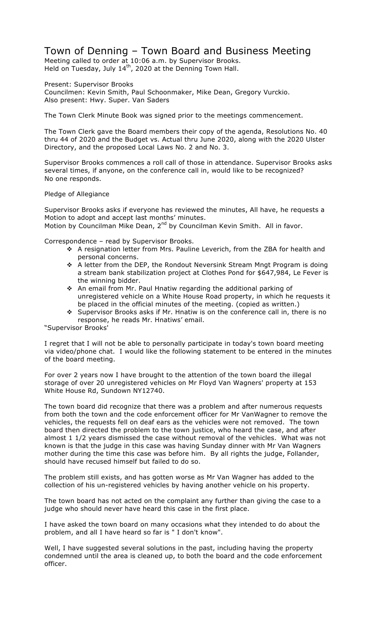## Town of Denning – Town Board and Business Meeting

Meeting called to order at 10:06 a.m. by Supervisor Brooks. Held on Tuesday, July  $14^{th}$ , 2020 at the Denning Town Hall.

Present: Supervisor Brooks

Councilmen: Kevin Smith, Paul Schoonmaker, Mike Dean, Gregory Vurckio. Also present: Hwy. Super. Van Saders

The Town Clerk Minute Book was signed prior to the meetings commencement.

The Town Clerk gave the Board members their copy of the agenda, Resolutions No. 40 thru 44 of 2020 and the Budget vs. Actual thru June 2020, along with the 2020 Ulster Directory, and the proposed Local Laws No. 2 and No. 3.

Supervisor Brooks commences a roll call of those in attendance. Supervisor Brooks asks several times, if anyone, on the conference call in, would like to be recognized? No one responds.

Pledge of Allegiance

Supervisor Brooks asks if everyone has reviewed the minutes, All have, he requests a Motion to adopt and accept last months' minutes. Motion by Councilman Mike Dean, 2<sup>nd</sup> by Councilman Kevin Smith. All in favor.

Correspondence – read by Supervisor Brooks.

- \* A resignation letter from Mrs. Pauline Leverich, from the ZBA for health and personal concerns.
- \* A letter from the DEP, the Rondout Neversink Stream Mngt Program is doing a stream bank stabilization project at Clothes Pond for \$647,984, Le Fever is the winning bidder.
- \* An email from Mr. Paul Hnatiw regarding the additional parking of unregistered vehicle on a White House Road property, in which he requests it be placed in the official minutes of the meeting. (copied as written.)
- ◆ Supervisor Brooks asks if Mr. Hnatiw is on the conference call in, there is no response, he reads Mr. Hnatiws' email.

"Supervisor Brooks'

I regret that I will not be able to personally participate in today's town board meeting via video/phone chat. I would like the following statement to be entered in the minutes of the board meeting.

For over 2 years now I have brought to the attention of the town board the illegal storage of over 20 unregistered vehicles on Mr Floyd Van Wagners' property at 153 White House Rd, Sundown NY12740.

The town board did recognize that there was a problem and after numerous requests from both the town and the code enforcement officer for Mr VanWagner to remove the vehicles, the requests fell on deaf ears as the vehicles were not removed. The town board then directed the problem to the town justice, who heard the case, and after almost 1 1/2 years dismissed the case without removal of the vehicles. What was not known is that the judge in this case was having Sunday dinner with Mr Van Wagners mother during the time this case was before him. By all rights the judge, Follander, should have recused himself but failed to do so.

The problem still exists, and has gotten worse as Mr Van Wagner has added to the collection of his un-registered vehicles by having another vehicle on his property.

The town board has not acted on the complaint any further than giving the case to a judge who should never have heard this case in the first place.

I have asked the town board on many occasions what they intended to do about the problem, and all I have heard so far is " I don't know".

Well, I have suggested several solutions in the past, including having the property condemned until the area is cleaned up, to both the board and the code enforcement officer.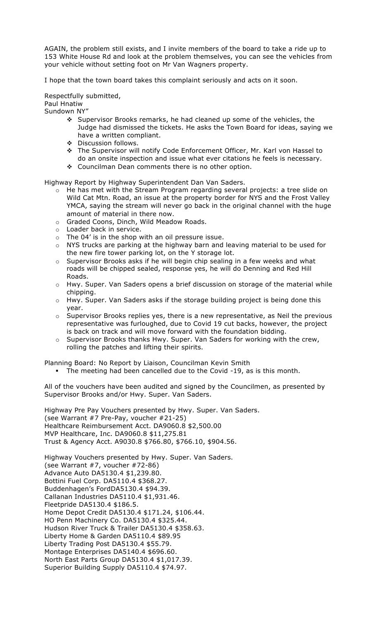AGAIN, the problem still exists, and I invite members of the board to take a ride up to 153 White House Rd and look at the problem themselves, you can see the vehicles from your vehicle without setting foot on Mr Van Wagners property.

I hope that the town board takes this complaint seriously and acts on it soon.

Respectfully submitted, Paul Hnatiw Sundown NY"

- $\div$  Supervisor Brooks remarks, he had cleaned up some of the vehicles, the Judge had dismissed the tickets. He asks the Town Board for ideas, saying we have a written compliant.
- ❖ Discussion follows.
- ! The Supervisor will notify Code Enforcement Officer, Mr. Karl von Hassel to do an onsite inspection and issue what ever citations he feels is necessary.
- \* Councilman Dean comments there is no other option.

Highway Report by Highway Superintendent Dan Van Saders.

- $\circ$  He has met with the Stream Program regarding several projects: a tree slide on Wild Cat Mtn. Road, an issue at the property border for NYS and the Frost Valley YMCA, saying the stream will never go back in the original channel with the huge amount of material in there now.
- o Graded Coons, Dinch, Wild Meadow Roads.
- o Loader back in service.
- $\circ$  The 04' is in the shop with an oil pressure issue.
- o NYS trucks are parking at the highway barn and leaving material to be used for the new fire tower parking lot, on the Y storage lot.
- o Supervisor Brooks asks if he will begin chip sealing in a few weeks and what roads will be chipped sealed, response yes, he will do Denning and Red Hill Roads.
- o Hwy. Super. Van Saders opens a brief discussion on storage of the material while chipping.
- o Hwy. Super. Van Saders asks if the storage building project is being done this year.
- $\circ$  Supervisor Brooks replies yes, there is a new representative, as Neil the previous representative was furloughed, due to Covid 19 cut backs, however, the project is back on track and will move forward with the foundation bidding.
- o Supervisor Brooks thanks Hwy. Super. Van Saders for working with the crew, rolling the patches and lifting their spirits.

Planning Board: No Report by Liaison, Councilman Kevin Smith

The meeting had been cancelled due to the Covid -19, as is this month.

All of the vouchers have been audited and signed by the Councilmen, as presented by Supervisor Brooks and/or Hwy. Super. Van Saders.

Highway Pre Pay Vouchers presented by Hwy. Super. Van Saders. (see Warrant #7 Pre-Pay, voucher #21-25) Healthcare Reimbursement Acct. DA9060.8 \$2,500.00 MVP Healthcare, Inc. DA9060.8 \$11,275.81 Trust & Agency Acct. A9030.8 \$766.80, \$766.10, \$904.56.

Highway Vouchers presented by Hwy. Super. Van Saders. (see Warrant #7, voucher #72-86) Advance Auto DA5130.4 \$1,239.80. Bottini Fuel Corp. DA5110.4 \$368.27. Buddenhagen's FordDA5130.4 \$94.39. Callanan Industries DA5110.4 \$1,931.46. Fleetpride DA5130.4 \$186.5. Home Depot Credit DA5130.4 \$171.24, \$106.44. HO Penn Machinery Co. DA5130.4 \$325.44. Hudson River Truck & Trailer DA5130.4 \$358.63. Liberty Home & Garden DA5110.4 \$89.95 Liberty Trading Post DA5130.4 \$55.79. Montage Enterprises DA5140.4 \$696.60. North East Parts Group DA5130.4 \$1,017.39. Superior Building Supply DA5110.4 \$74.97.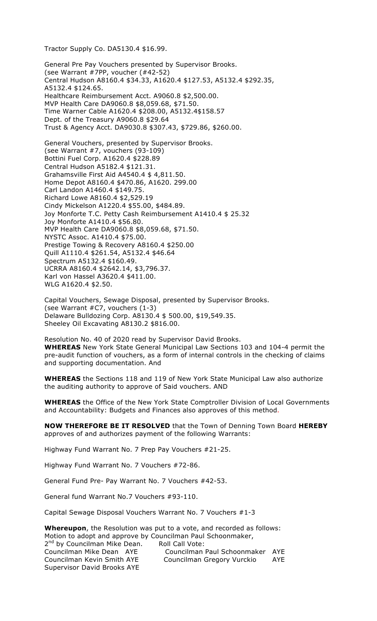Tractor Supply Co. DA5130.4 \$16.99.

General Pre Pay Vouchers presented by Supervisor Brooks. (see Warrant #7PP, voucher (#42-52) Central Hudson A8160.4 \$34.33, A1620.4 \$127.53, A5132.4 \$292.35, A5132.4 \$124.65. Healthcare Reimbursement Acct. A9060.8 \$2,500.00. MVP Health Care DA9060.8 \$8,059.68, \$71.50. Time Warner Cable A1620.4 \$208.00, A5132.4\$158.57 Dept. of the Treasury A9060.8 \$29.64 Trust & Agency Acct. DA9030.8 \$307.43, \$729.86, \$260.00. General Vouchers, presented by Supervisor Brooks. (see Warrant #7, vouchers (93-109) Bottini Fuel Corp. A1620.4 \$228.89 Central Hudson A5182.4 \$121.31. Grahamsville First Aid A4540.4 \$ 4,811.50. Home Depot A8160.4 \$470.86, A1620. 299.00 Carl Landon A1460.4 \$149.75. Richard Lowe A8160.4 \$2,529.19 Cindy Mickelson A1220.4 \$55.00, \$484.89. Joy Monforte T.C. Petty Cash Reimbursement A1410.4 \$ 25.32 Joy Monforte A1410.4 \$56.80. MVP Health Care DA9060.8 \$8,059.68, \$71.50. NYSTC Assoc. A1410.4 \$75.00. Prestige Towing & Recovery A8160.4 \$250.00 Quill A1110.4 \$261.54, A5132.4 \$46.64 Spectrum A5132.4 \$160.49. UCRRA A8160.4 \$2642.14, \$3,796.37. Karl von Hassel A3620.4 \$411.00. WLG A1620.4 \$2.50.

Capital Vouchers, Sewage Disposal, presented by Supervisor Brooks. (see Warrant #C7, vouchers (1-3) Delaware Bulldozing Corp. A8130.4 \$ 500.00, \$19,549.35. Sheeley Oil Excavating A8130.2 \$816.00.

Resolution No. 40 of 2020 read by Supervisor David Brooks. **WHEREAS** New York State General Municipal Law Sections 103 and 104-4 permit the pre-audit function of vouchers, as a form of internal controls in the checking of claims and supporting documentation. And

**WHEREAS** the Sections 118 and 119 of New York State Municipal Law also authorize the auditing authority to approve of Said vouchers. AND

**WHEREAS** the Office of the New York State Comptroller Division of Local Governments and Accountability: Budgets and Finances also approves of this method.

**NOW THEREFORE BE IT RESOLVED** that the Town of Denning Town Board **HEREBY** approves of and authorizes payment of the following Warrants:

Highway Fund Warrant No. 7 Prep Pay Vouchers #21-25.

Highway Fund Warrant No. 7 Vouchers #72-86.

General Fund Pre- Pay Warrant No. 7 Vouchers #42-53.

General fund Warrant No.7 Vouchers #93-110.

Capital Sewage Disposal Vouchers Warrant No. 7 Vouchers #1-3

**Whereupon**, the Resolution was put to a vote, and recorded as follows: Motion to adopt and approve by Councilman Paul Schoonmaker, 2<sup>nd</sup> by Councilman Mike Dean. Roll Call Vote: Councilman Mike Dean AYE Councilman Paul Schoonmaker AYE Councilman Kevin Smith AYE Councilman Gregory Vurckio AYE Supervisor David Brooks AYE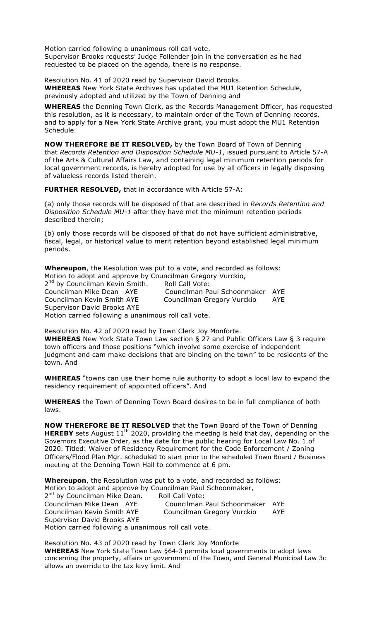Motion carried following a unanimous roll call vote. Supervisor Brooks requests' Judge Follender join in the conversation as he had requested to be placed on the agenda, there is no response.

Resolution No. 41 of 2020 read by Supervisor David Brooks. **WHEREAS** New York State Archives has updated the MU1 Retention Schedule, previously adopted and utilized by the Town of Denning and

**WHEREAS** the Denning Town Clerk, as the Records Management Officer, has requested this resolution, as it is necessary, to maintain order of the Town of Denning records, and to apply for a New York State Archive grant, you must adopt the MU1 Retention Schedule.

**NOW THEREFORE BE IT RESOLVED,** by the Town Board of Town of Denning that *Records Retention and Disposition Schedule MU-1*, issued pursuant to Article 57-A of the Arts & Cultural Affairs Law, and containing legal minimum retention periods for local government records, is hereby adopted for use by all officers in legally disposing of valueless records listed therein.

**FURTHER RESOLVED,** that in accordance with Article 57-A:

(a) only those records will be disposed of that are described in *Records Retention and Disposition Schedule MU-1* after they have met the minimum retention periods described therein;

(b) only those records will be disposed of that do not have sufficient administrative, fiscal, legal, or historical value to merit retention beyond established legal minimum periods.

**Whereupon**, the Resolution was put to a vote, and recorded as follows: Motion to adopt and approve by Councilman Gregory Vurckio,

2<sup>nd</sup> by Councilman Kevin Smith. Roll Call Vote: Councilman Mike Dean AYE Councilman Paul Schoonmaker AYE Councilman Kevin Smith AYE Councilman Gregory Vurckio AYE Supervisor David Brooks AYE Motion carried following a unanimous roll call vote.

Resolution No. 42 of 2020 read by Town Clerk Joy Monforte. **WHEREAS** New York State Town Law section § 27 and Public Officers Law § 3 require town officers and those positions "which involve some exercise of independent judgment and cam make decisions that are binding on the town" to be residents of the town. And

**WHEREAS** "towns can use their home rule authority to adopt a local law to expand the residency requirement of appointed officers". And

**WHEREAS** the Town of Denning Town Board desires to be in full compliance of both laws.

**NOW THEREFORE BE IT RESOLVED** that the Town Board of the Town of Denning **HEREBY** sets August 11<sup>th</sup> 2020, providing the meeting is held that day, depending on the Governors Executive Order, as the date for the public hearing for Local Law No. 1 of 2020. Titled: Waiver of Residency Requirement for the Code Enforcement / Zoning Officers/Flood Plan Mgr. scheduled to start prior to the scheduled Town Board / Business meeting at the Denning Town Hall to commence at 6 pm.

**Whereupon**, the Resolution was put to a vote, and recorded as follows: Motion to adopt and approve by Councilman Paul Schoonmaker, 2<sup>nd</sup> by Councilman Mike Dean. Roll Call Vote: Councilman Mike Dean AYE Councilman Paul Schoonmaker AYE Councilman Kevin Smith AYE Councilman Gregory Vurckio AYE Supervisor David Brooks AYE Motion carried following a unanimous roll call vote.

Resolution No. 43 of 2020 read by Town Clerk Joy Monforte **WHEREAS** New York State Town Law §64-3 permits local governments to adopt laws concerning the property, affairs or government of the Town, and General Municipal Law 3c allows an override to the tax levy limit. And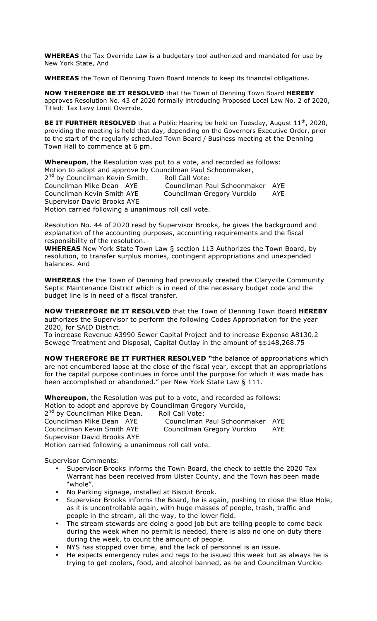**WHEREAS** the Tax Override Law is a budgetary tool authorized and mandated for use by New York State, And

**WHEREAS** the Town of Denning Town Board intends to keep its financial obligations.

**NOW THEREFORE BE IT RESOLVED** that the Town of Denning Town Board **HEREBY** approves Resolution No. 43 of 2020 formally introducing Proposed Local Law No. 2 of 2020, Titled: Tax Levy Limit Override.

**BE IT FURTHER RESOLVED** that a Public Hearing be held on Tuesday, August 11<sup>th</sup>, 2020, providing the meeting is held that day, depending on the Governors Executive Order, prior to the start of the regularly scheduled Town Board / Business meeting at the Denning Town Hall to commence at 6 pm.

**Whereupon**, the Resolution was put to a vote, and recorded as follows: Motion to adopt and approve by Councilman Paul Schoonmaker,

2<sup>nd</sup> by Councilman Kevin Smith. Roll Call Vote: Councilman Mike Dean AYE Councilman Paul Schoonmaker AYE Councilman Kevin Smith AYE Councilman Gregory Vurckio AYE Supervisor David Brooks AYE Motion carried following a unanimous roll call vote.

Resolution No. 44 of 2020 read by Supervisor Brooks, he gives the background and explanation of the accounting purposes, accounting requirements and the fiscal responsibility of the resolution.

**WHEREAS** New York State Town Law § section 113 Authorizes the Town Board, by resolution, to transfer surplus monies, contingent appropriations and unexpended balances. And

**WHEREAS** the the Town of Denning had previously created the Claryville Community Septic Maintenance District which is in need of the necessary budget code and the budget line is in need of a fiscal transfer.

**NOW THEREFORE BE IT RESOLVED** that the Town of Denning Town Board **HEREBY**  authorizes the Supervisor to perform the following Codes Appropriation for the year 2020, for SAID District.

To increase Revenue A3990 Sewer Capital Project and to increase Expense A8130.2 Sewage Treatment and Disposal, Capital Outlay in the amount of \$\$148,268.75

**NOW THEREFORE BE IT FURTHER RESOLVED "**the balance of appropriations which are not encumbered lapse at the close of the fiscal year, except that an appropriations for the capital purpose continues in force until the purpose for which it was made has been accomplished or abandoned." per New York State Law § 111.

**Whereupon**, the Resolution was put to a vote, and recorded as follows: Motion to adopt and approve by Councilman Gregory Vurckio,

2<sup>nd</sup> by Councilman Mike Dean. Roll Call Vote:<br>Councilman Mike Dean AYE Councilman Supervisor David Brooks AYE Motion carried following a unanimous roll call vote.

Councilman Paul Schoonmaker AYE Councilman Kevin Smith AYE Councilman Gregory Vurckio AYE

- Supervisor Comments: • Supervisor Brooks informs the Town Board, the check to settle the 2020 Tax Warrant has been received from Ulster County, and the Town has been made "whole".
	- No Parking signage, installed at Biscuit Brook.
	- Supervisor Brooks informs the Board, he is again, pushing to close the Blue Hole, as it is uncontrollable again, with huge masses of people, trash, traffic and people in the stream, all the way, to the lower field.
	- The stream stewards are doing a good job but are telling people to come back during the week when no permit is needed, there is also no one on duty there during the week, to count the amount of people.
	- NYS has stopped over time, and the lack of personnel is an issue.
	- He expects emergency rules and regs to be issued this week but as always he is trying to get coolers, food, and alcohol banned, as he and Councilman Vurckio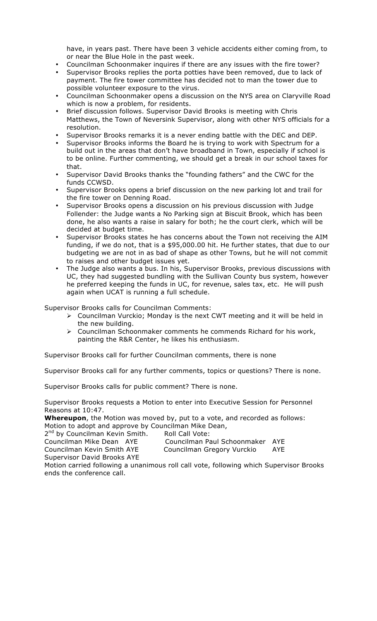have, in years past. There have been 3 vehicle accidents either coming from, to or near the Blue Hole in the past week.

- Councilman Schoonmaker inquires if there are any issues with the fire tower?
- Supervisor Brooks replies the porta potties have been removed, due to lack of payment. The fire tower committee has decided not to man the tower due to possible volunteer exposure to the virus.
- Councilman Schoonmaker opens a discussion on the NYS area on Claryville Road which is now a problem, for residents.
- Brief discussion follows. Supervisor David Brooks is meeting with Chris Matthews, the Town of Neversink Supervisor, along with other NYS officials for a resolution.
- Supervisor Brooks remarks it is a never ending battle with the DEC and DEP.
- Supervisor Brooks informs the Board he is trying to work with Spectrum for a build out in the areas that don't have broadband in Town, especially if school is to be online. Further commenting, we should get a break in our school taxes for that.
- Supervisor David Brooks thanks the "founding fathers" and the CWC for the funds CCWSD.
- Supervisor Brooks opens a brief discussion on the new parking lot and trail for the fire tower on Denning Road.
- Supervisor Brooks opens a discussion on his previous discussion with Judge Follender: the Judge wants a No Parking sign at Biscuit Brook, which has been done, he also wants a raise in salary for both; he the court clerk, which will be decided at budget time.
- Supervisor Brooks states he has concerns about the Town not receiving the AIM funding, if we do not, that is a \$95,000.00 hit. He further states, that due to our budgeting we are not in as bad of shape as other Towns, but he will not commit to raises and other budget issues yet.
- The Judge also wants a bus. In his, Supervisor Brooks, previous discussions with UC, they had suggested bundling with the Sullivan County bus system, however he preferred keeping the funds in UC, for revenue, sales tax, etc. He will push again when UCAT is running a full schedule.

Supervisor Brooks calls for Councilman Comments:

- $\triangleright$  Councilman Vurckio; Monday is the next CWT meeting and it will be held in the new building.
- $\triangleright$  Councilman Schoonmaker comments he commends Richard for his work, painting the R&R Center, he likes his enthusiasm.

Supervisor Brooks call for further Councilman comments, there is none

Supervisor Brooks call for any further comments, topics or questions? There is none.

Supervisor Brooks calls for public comment? There is none.

Supervisor Brooks requests a Motion to enter into Executive Session for Personnel Reasons at 10:47.

**Whereupon**, the Motion was moved by, put to a vote, and recorded as follows: Motion to adopt and approve by Councilman Mike Dean,  $2<sup>nd</sup>$  by Councilman Kevin Smith. And Call Vote:

 $2<sup>nd</sup>$  by Councilman Kevin Smith.

| $\sim$ by countminism iterm chinem. | 10011 CUII VULCI                |     |
|-------------------------------------|---------------------------------|-----|
| Councilman Mike Dean AYE            | Councilman Paul Schoonmaker AYE |     |
| Councilman Kevin Smith AYE          | Councilman Gregory Vurckio      | AYE |
| Supervisor David Brooks AYE         |                                 |     |
|                                     |                                 |     |

Motion carried following a unanimous roll call vote, following which Supervisor Brooks ends the conference call.